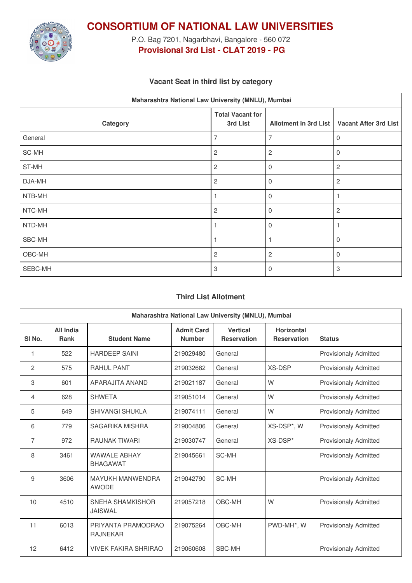

**CONSORTIUM OF NATIONAL LAW UNIVERSITIES**

P.O. Bag 7201, Nagarbhavi, Bangalore - 560 072 **Provisional 3rd List - CLAT 2019 - PG**

## **Vacant Seat in third list by category**

| Maharashtra National Law University (MNLU), Mumbai |                                     |                       |                              |  |  |
|----------------------------------------------------|-------------------------------------|-----------------------|------------------------------|--|--|
| Category                                           | <b>Total Vacant for</b><br>3rd List | Allotment in 3rd List | <b>Vacant After 3rd List</b> |  |  |
| General                                            | $\overline{7}$                      | 7                     | $\overline{0}$               |  |  |
| SC-MH                                              | $\overline{c}$                      | $\overline{c}$        | $\mathbf 0$                  |  |  |
| ST-MH                                              | $\overline{c}$                      | 0                     | $\overline{c}$               |  |  |
| DJA-MH                                             | $\overline{c}$                      | $\Omega$              | $\overline{c}$               |  |  |
| NTB-MH                                             |                                     | 0                     |                              |  |  |
| NTC-MH                                             | $\overline{c}$                      | $\Omega$              | $\overline{2}$               |  |  |
| NTD-MH                                             |                                     | 0                     |                              |  |  |
| SBC-MH                                             |                                     |                       | $\mathbf 0$                  |  |  |
| OBC-MH                                             | $\overline{c}$                      | $\overline{c}$        | $\mathbf 0$                  |  |  |
| SEBC-MH                                            | $\mathbf{3}$                        | 0                     | 3                            |  |  |

## **Third List Allotment**

| Maharashtra National Law University (MNLU), Mumbai |                                 |                                         |                                    |                                       |                                         |                              |
|----------------------------------------------------|---------------------------------|-----------------------------------------|------------------------------------|---------------------------------------|-----------------------------------------|------------------------------|
| SI <sub>No.</sub>                                  | <b>All India</b><br><b>Rank</b> | <b>Student Name</b>                     | <b>Admit Card</b><br><b>Number</b> | <b>Vertical</b><br><b>Reservation</b> | <b>Horizontal</b><br><b>Reservation</b> | <b>Status</b>                |
| 1                                                  | 522                             | <b>HARDEEP SAINI</b>                    | 219029480                          | General                               |                                         | <b>Provisionaly Admitted</b> |
| $\overline{c}$                                     | 575                             | <b>RAHUL PANT</b>                       | 219032682                          | General                               | <b>XS-DSP</b>                           | <b>Provisionaly Admitted</b> |
| 3                                                  | 601                             | APARAJITA ANAND                         | 219021187                          | General                               | W                                       | <b>Provisionaly Admitted</b> |
| 4                                                  | 628                             | <b>SHWETA</b>                           | 219051014                          | General                               | W                                       | <b>Provisionaly Admitted</b> |
| 5                                                  | 649                             | <b>SHIVANGI SHUKLA</b>                  | 219074111                          | General                               | W                                       | <b>Provisionaly Admitted</b> |
| 6                                                  | 779                             | SAGARIKA MISHRA                         | 219004806                          | General                               | XS-DSP*, W                              | <b>Provisionaly Admitted</b> |
| $\overline{7}$                                     | 972                             | <b>RAUNAK TIWARI</b>                    | 219030747                          | General                               | XS-DSP*                                 | <b>Provisionaly Admitted</b> |
| 8                                                  | 3461                            | <b>WAWAI F ABHAY</b><br><b>BHAGAWAT</b> | 219045661                          | SC-MH                                 |                                         | <b>Provisionaly Admitted</b> |
| 9                                                  | 3606                            | <b>MAYUKH MANWENDRA</b><br><b>AWODE</b> | 219042790                          | SC-MH                                 |                                         | <b>Provisionaly Admitted</b> |
| 10                                                 | 4510                            | SNEHA SHAMKISHOR<br><b>JAISWAL</b>      | 219057218                          | OBC-MH                                | W                                       | <b>Provisionaly Admitted</b> |
| 11                                                 | 6013                            | PRIYANTA PRAMODRAO<br><b>RAJNEKAR</b>   | 219075264                          | OBC-MH                                | PWD-MH*, W                              | <b>Provisionaly Admitted</b> |
| 12                                                 | 6412                            | <b>VIVEK FAKIRA SHRIRAO</b>             | 219060608                          | SBC-MH                                |                                         | <b>Provisionaly Admitted</b> |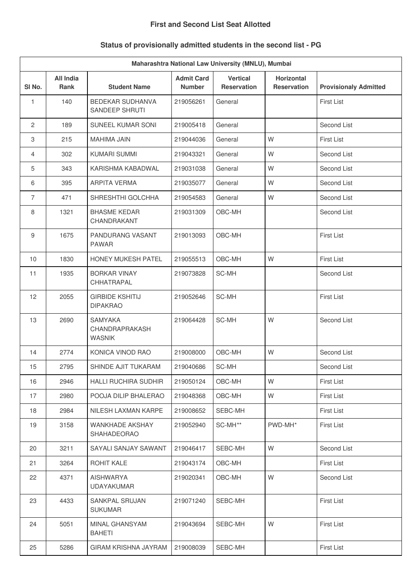#### **First and Second List Seat Allotted**

# **Status of provisionally admitted students in the second list - PG**

| Maharashtra National Law University (MNLU), Mumbai |                                 |                                                   |                                    |                                       |                                         |                              |
|----------------------------------------------------|---------------------------------|---------------------------------------------------|------------------------------------|---------------------------------------|-----------------------------------------|------------------------------|
| SI No.                                             | <b>All India</b><br><b>Rank</b> | <b>Student Name</b>                               | <b>Admit Card</b><br><b>Number</b> | <b>Vertical</b><br><b>Reservation</b> | <b>Horizontal</b><br><b>Reservation</b> | <b>Provisionaly Admitted</b> |
| 1                                                  | 140                             | <b>BEDEKAR SUDHANVA</b><br>SANDEEP SHRUTI         | 219056261                          | General                               |                                         | <b>First List</b>            |
| $\mathbf{2}$                                       | 189                             | SUNEEL KUMAR SONI                                 | 219005418                          | General                               |                                         | Second List                  |
| 3                                                  | 215                             | MAHIMA JAIN                                       | 219044036                          | General                               | W                                       | <b>First List</b>            |
| $\overline{4}$                                     | 302                             | <b>KUMARI SUMMI</b>                               | 219043321                          | General                               | W                                       | Second List                  |
| 5                                                  | 343                             | KARISHMA KABADWAL                                 | 219031038                          | General                               | W                                       | Second List                  |
| 6                                                  | 395                             | <b>ARPITA VERMA</b>                               | 219035077                          | General                               | W                                       | Second List                  |
| $\overline{7}$                                     | 471                             | SHRESHTHI GOLCHHA                                 | 219054583                          | General                               | W                                       | Second List                  |
| 8                                                  | 1321                            | <b>BHASME KEDAR</b><br>CHANDRAKANT                | 219031309                          | OBC-MH                                |                                         | Second List                  |
| 9                                                  | 1675                            | PANDURANG VASANT<br><b>PAWAR</b>                  | 219013093                          | OBC-MH                                |                                         | <b>First List</b>            |
| 10                                                 | 1830                            | HONEY MUKESH PATEL                                | 219055513                          | OBC-MH                                | W                                       | <b>First List</b>            |
| 11                                                 | 1935                            | <b>BORKAR VINAY</b><br>CHHATRAPAL                 | 219073828                          | SC-MH                                 |                                         | Second List                  |
| 12                                                 | 2055                            | <b>GIRBIDE KSHITIJ</b><br><b>DIPAKRAO</b>         | 219052646                          | SC-MH                                 |                                         | <b>First List</b>            |
| 13                                                 | 2690                            | <b>SAMYAKA</b><br>CHANDRAPRAKASH<br><b>WASNIK</b> | 219064428                          | SC-MH                                 | W                                       | Second List                  |
| 14                                                 | 2774                            | KONICA VINOD RAO                                  | 219008000                          | OBC-MH                                | W                                       | Second List                  |
| 15                                                 | 2795                            | SHINDE AJIT TUKARAM                               | 219040686                          | SC-MH                                 |                                         | Second List                  |
| 16                                                 | 2946                            | HALLI RUCHIRA SUDHIR                              | 219050124                          | OBC-MH                                | W                                       | <b>First List</b>            |
| 17                                                 | 2980                            | POOJA DILIP BHALERAO                              | 219048368                          | OBC-MH                                | W                                       | <b>First List</b>            |
| 18                                                 | 2984                            | NILESH LAXMAN KARPE                               | 219008652                          | SEBC-MH                               |                                         | <b>First List</b>            |
| 19                                                 | 3158                            | <b>WANKHADE AKSHAY</b><br><b>SHAHADEORAO</b>      | 219052940                          | SC-MH**                               | PWD-MH*                                 | <b>First List</b>            |
| 20                                                 | 3211                            | SAYALI SANJAY SAWANT                              | 219046417                          | SEBC-MH                               | W                                       | Second List                  |
| 21                                                 | 3264                            | ROHIT KALE                                        | 219043174                          | OBC-MH                                |                                         | <b>First List</b>            |
| 22                                                 | 4371                            | <b>AISHWARYA</b><br>UDAYAKUMAR                    | 219020341                          | OBC-MH                                | W                                       | Second List                  |
| 23                                                 | 4433                            | <b>SANKPAL SRUJAN</b><br><b>SUKUMAR</b>           | 219071240                          | SEBC-MH                               |                                         | <b>First List</b>            |
| 24                                                 | 5051                            | MINAL GHANSYAM<br><b>BAHETI</b>                   | 219043694                          | SEBC-MH                               | W                                       | <b>First List</b>            |
| 25                                                 | 5286                            | GIRAM KRISHNA JAYRAM                              | 219008039                          | SEBC-MH                               |                                         | First List                   |